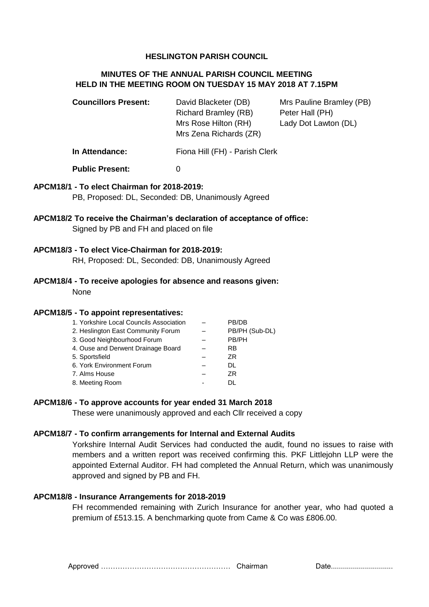## **HESLINGTON PARISH COUNCIL**

# **MINUTES OF THE ANNUAL PARISH COUNCIL MEETING HELD IN THE MEETING ROOM ON TUESDAY 15 MAY 2018 AT 7.15PM**

| <b>Councillors Present:</b> | David Blacketer (DB)<br><b>Richard Bramley (RB)</b><br>Mrs Rose Hilton (RH)<br>Mrs Zena Richards (ZR) | Mrs Pauline Bramley (PB)<br>Peter Hall (PH)<br>Lady Dot Lawton (DL) |
|-----------------------------|-------------------------------------------------------------------------------------------------------|---------------------------------------------------------------------|
| In Attendance:              | Fiona Hill (FH) - Parish Clerk                                                                        |                                                                     |
| <b>Public Present:</b>      |                                                                                                       |                                                                     |

## **APCM18/1 - To elect Chairman for 2018-2019:**

PB, Proposed: DL, Seconded: DB, Unanimously Agreed

## **APCM18/2 To receive the Chairman's declaration of acceptance of office:** Signed by PB and FH and placed on file

## **APCM18/3 - To elect Vice-Chairman for 2018-2019:**

RH, Proposed: DL, Seconded: DB, Unanimously Agreed

## **APCM18/4 - To receive apologies for absence and reasons given:** None

#### **APCM18/5 - To appoint representatives:**

| 1. Yorkshire Local Councils Association | PB/DB          |
|-----------------------------------------|----------------|
| 2. Heslington East Community Forum      | PB/PH (Sub-DL) |
| 3. Good Neighbourhood Forum             | PB/PH          |
| 4. Ouse and Derwent Drainage Board      | RB             |
| 5. Sportsfield                          | ZR.            |
| 6. York Environment Forum               | DL.            |
| 7. Alms House                           | ZR.            |
| 8. Meeting Room                         | וח             |
|                                         |                |

## **APCM18/6 - To approve accounts for year ended 31 March 2018**

These were unanimously approved and each Cllr received a copy

#### **APCM18/7 - To confirm arrangements for Internal and External Audits**

Yorkshire Internal Audit Services had conducted the audit, found no issues to raise with members and a written report was received confirming this. PKF Littlejohn LLP were the appointed External Auditor. FH had completed the Annual Return, which was unanimously approved and signed by PB and FH.

#### **APCM18/8 - Insurance Arrangements for 2018-2019**

FH recommended remaining with Zurich Insurance for another year, who had quoted a premium of £513.15. A benchmarking quote from Came & Co was £806.00.

Approved ……………………………………………… Chairman Date...............................